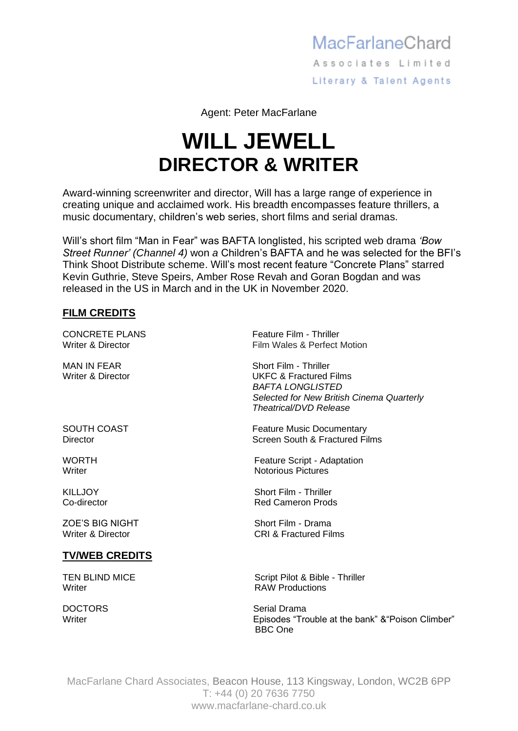## MacFarlaneChard Associates Limited Literary & Talent Agents

Agent: Peter MacFarlane

## **WILL JEWELL DIRECTOR & WRITER**

Award-winning screenwriter and director, Will has a large range of experience in creating unique and acclaimed work. His breadth encompasses feature thrillers, a music documentary, children's web series, short films and serial dramas.

Will's short film "Man in Fear" was BAFTA longlisted, his scripted web drama *'Bow Street Runner' (Channel 4)* won *a* Children's BAFTA and he was selected for the BFI's Think Shoot Distribute scheme. Will's most recent feature "Concrete Plans" starred Kevin Guthrie, Steve Speirs, Amber Rose Revah and Goran Bogdan and was released in the US in March and in the UK in November 2020.

## **FILM CREDITS**

## **TV/WEB CREDITS**

Writer **With Allen Contract Contract Contract Contract Contract Contract Contract Contract Contract Contract Contract Contract Contract Contract Contract Contract Contract Contract Contract Contract Contract Contract Contr** 

CONCRETE PLANS Feature Film - Thriller Writer & Director **Film Wales & Perfect Motion** 

MAN IN FEAR Short Film - Thriller Writer & Director **National Community Community** UKFC & Fractured Films *BAFTA LONGLISTED Selected for New British Cinema Quarterly Theatrical/DVD Release*

SOUTH COAST **Feature Music Documentary** Director Screen South & Fractured Films

WORTH Feature Script - Adaptation<br>
Writer Motorious Pictures Notorious Pictures

KILLJOY Short Film - Thriller Co-director **Red Cameron Prods** 

ZOE'S BIG NIGHT Short Film - Drama Writer & Director CRI & Fractured Films

TEN BLIND MICE Script Pilot & Bible - Thriller

DOCTORS Serial Drama Writer **Episodes "Trouble at the bank" & "Poison Climber"** Current Communist Communist Communist Communist Communist Communist Communist Communist Communist Communist Communist Communist Communist Communist Communist Commu BBC One

MacFarlane Chard Associates, Beacon House, 113 Kingsway, London, WC2B 6PP T: +44 (0) 20 7636 7750 www.macfarlane-chard.co.uk